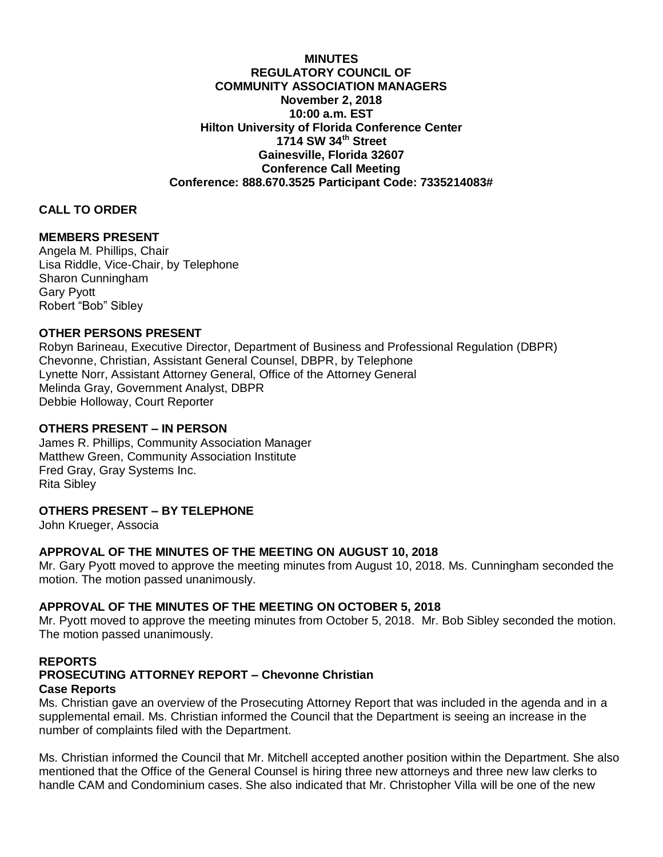**MINUTES REGULATORY COUNCIL OF COMMUNITY ASSOCIATION MANAGERS November 2, 2018 10:00 a.m. EST Hilton University of Florida Conference Center 1714 SW 34th Street Gainesville, Florida 32607 Conference Call Meeting Conference: 888.670.3525 Participant Code: 7335214083#**

## **CALL TO ORDER**

## **MEMBERS PRESENT**

Angela M. Phillips, Chair Lisa Riddle, Vice-Chair, by Telephone Sharon Cunningham Gary Pyott Robert "Bob" Sibley

## **OTHER PERSONS PRESENT**

Robyn Barineau, Executive Director, Department of Business and Professional Regulation (DBPR) Chevonne, Christian, Assistant General Counsel, DBPR, by Telephone Lynette Norr, Assistant Attorney General, Office of the Attorney General Melinda Gray, Government Analyst, DBPR Debbie Holloway, Court Reporter

## **OTHERS PRESENT – IN PERSON**

James R. Phillips, Community Association Manager Matthew Green, Community Association Institute Fred Gray, Gray Systems Inc. Rita Sibley

# **OTHERS PRESENT – BY TELEPHONE**

John Krueger, Associa

## **APPROVAL OF THE MINUTES OF THE MEETING ON AUGUST 10, 2018**

Mr. Gary Pyott moved to approve the meeting minutes from August 10, 2018. Ms. Cunningham seconded the motion. The motion passed unanimously.

## **APPROVAL OF THE MINUTES OF THE MEETING ON OCTOBER 5, 2018**

Mr. Pyott moved to approve the meeting minutes from October 5, 2018. Mr. Bob Sibley seconded the motion. The motion passed unanimously.

# **REPORTS PROSECUTING ATTORNEY REPORT – Chevonne Christian Case Reports**

Ms. Christian gave an overview of the Prosecuting Attorney Report that was included in the agenda and in a supplemental email. Ms. Christian informed the Council that the Department is seeing an increase in the number of complaints filed with the Department.

Ms. Christian informed the Council that Mr. Mitchell accepted another position within the Department. She also mentioned that the Office of the General Counsel is hiring three new attorneys and three new law clerks to handle CAM and Condominium cases. She also indicated that Mr. Christopher Villa will be one of the new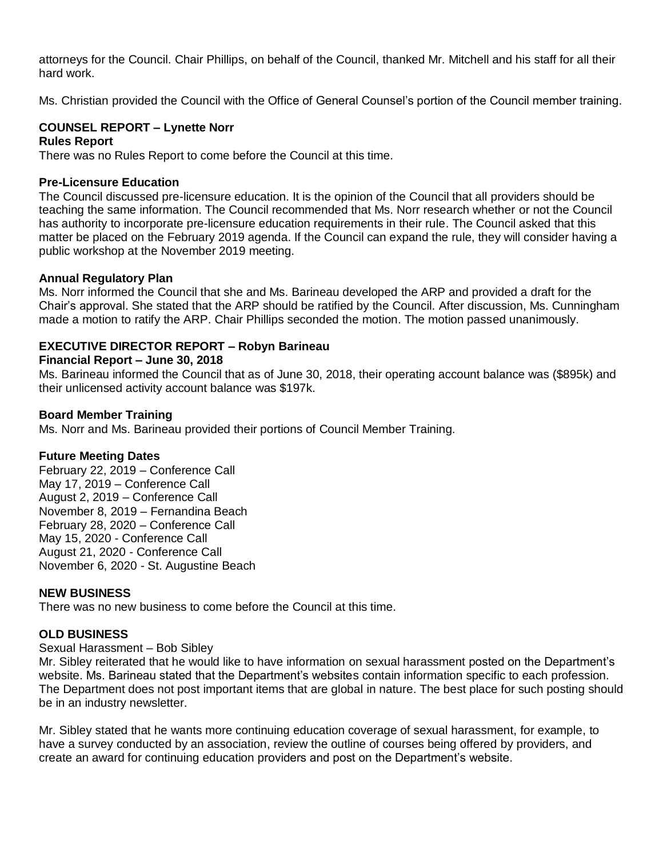attorneys for the Council. Chair Phillips, on behalf of the Council, thanked Mr. Mitchell and his staff for all their hard work.

Ms. Christian provided the Council with the Office of General Counsel's portion of the Council member training.

# **COUNSEL REPORT – Lynette Norr**

### **Rules Report**

There was no Rules Report to come before the Council at this time.

### **Pre-Licensure Education**

The Council discussed pre-licensure education. It is the opinion of the Council that all providers should be teaching the same information. The Council recommended that Ms. Norr research whether or not the Council has authority to incorporate pre-licensure education requirements in their rule. The Council asked that this matter be placed on the February 2019 agenda. If the Council can expand the rule, they will consider having a public workshop at the November 2019 meeting.

### **Annual Regulatory Plan**

Ms. Norr informed the Council that she and Ms. Barineau developed the ARP and provided a draft for the Chair's approval. She stated that the ARP should be ratified by the Council. After discussion, Ms. Cunningham made a motion to ratify the ARP. Chair Phillips seconded the motion. The motion passed unanimously.

## **EXECUTIVE DIRECTOR REPORT – Robyn Barineau**

### **Financial Report – June 30, 2018**

Ms. Barineau informed the Council that as of June 30, 2018, their operating account balance was (\$895k) and their unlicensed activity account balance was \$197k.

### **Board Member Training**

Ms. Norr and Ms. Barineau provided their portions of Council Member Training.

## **Future Meeting Dates**

February 22, 2019 – Conference Call May 17, 2019 – Conference Call August 2, 2019 – Conference Call November 8, 2019 – Fernandina Beach February 28, 2020 – Conference Call May 15, 2020 - Conference Call August 21, 2020 - Conference Call November 6, 2020 - St. Augustine Beach

#### **NEW BUSINESS**

There was no new business to come before the Council at this time.

## **OLD BUSINESS**

## Sexual Harassment – Bob Sibley

Mr. Sibley reiterated that he would like to have information on sexual harassment posted on the Department's website. Ms. Barineau stated that the Department's websites contain information specific to each profession. The Department does not post important items that are global in nature. The best place for such posting should be in an industry newsletter.

Mr. Sibley stated that he wants more continuing education coverage of sexual harassment, for example, to have a survey conducted by an association, review the outline of courses being offered by providers, and create an award for continuing education providers and post on the Department's website.